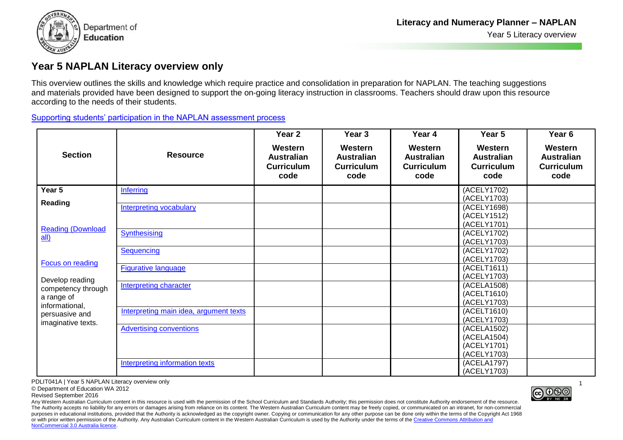

## **Year 5 NAPLAN Literacy overview only**

This overview outlines the skills and knowledge which require practice and consolidation in preparation for NAPLAN. The teaching suggestions and materials provided have been designed to support the on-going literacy instruction in classrooms. Teachers should draw upon this resource according to the needs of their students.

[Supporting students' participation in the NAPLAN assessment process](http://ecm.det.wa.edu.au/connect/resolver/view/PDLIT072/latest/PDLIT072.pdf)

|                                            |                                        | Year 2                                                    | Year 3                                                    | Year 4                                                    | Year 5                                                    | Year <sub>6</sub>                                         |
|--------------------------------------------|----------------------------------------|-----------------------------------------------------------|-----------------------------------------------------------|-----------------------------------------------------------|-----------------------------------------------------------|-----------------------------------------------------------|
| <b>Section</b>                             | <b>Resource</b>                        | Western<br><b>Australian</b><br><b>Curriculum</b><br>code | Western<br><b>Australian</b><br><b>Curriculum</b><br>code | Western<br><b>Australian</b><br><b>Curriculum</b><br>code | Western<br><b>Australian</b><br><b>Curriculum</b><br>code | Western<br><b>Australian</b><br><b>Curriculum</b><br>code |
| Year 5                                     | <b>Inferring</b>                       |                                                           |                                                           |                                                           | (ACELY1702)                                               |                                                           |
| Reading                                    |                                        |                                                           |                                                           |                                                           | (ACELY1703)                                               |                                                           |
|                                            | Interpreting vocabulary                |                                                           |                                                           |                                                           | (ACELY1698)                                               |                                                           |
|                                            |                                        |                                                           |                                                           |                                                           | (ACELY1512)                                               |                                                           |
| <b>Reading (Download</b>                   |                                        |                                                           |                                                           |                                                           | (ACELY1701)                                               |                                                           |
| $all$                                      | Synthesising                           |                                                           |                                                           |                                                           | (ACELY1702)                                               |                                                           |
|                                            | <b>Sequencing</b>                      |                                                           |                                                           |                                                           | (ACELY1703)<br>(ACELY1702)                                |                                                           |
|                                            |                                        |                                                           |                                                           |                                                           | (ACELY1703)                                               |                                                           |
| <b>Focus on reading</b><br>Develop reading | <b>Figurative language</b>             |                                                           |                                                           |                                                           | (ACELT1611)                                               |                                                           |
|                                            |                                        |                                                           |                                                           |                                                           | (ACELY1703)                                               |                                                           |
|                                            | <b>Interpreting character</b>          |                                                           |                                                           |                                                           | (ACELA1508)                                               |                                                           |
| competency through                         |                                        |                                                           |                                                           |                                                           | (ACELT1610)                                               |                                                           |
| a range of<br>informational,               |                                        |                                                           |                                                           |                                                           | (ACELY1703)                                               |                                                           |
| persuasive and                             | Interpreting main idea, argument texts |                                                           |                                                           |                                                           | (ACELT1610)                                               |                                                           |
| imaginative texts.                         |                                        |                                                           |                                                           |                                                           | (ACELY1703)                                               |                                                           |
|                                            | <b>Advertising conventions</b>         |                                                           |                                                           |                                                           | (ACELA1502)                                               |                                                           |
|                                            |                                        |                                                           |                                                           |                                                           | (ACELA1504)                                               |                                                           |
|                                            |                                        |                                                           |                                                           |                                                           | (ACELY1701)                                               |                                                           |
|                                            |                                        |                                                           |                                                           |                                                           | (ACELY1703)                                               |                                                           |
|                                            | <b>Interpreting information texts</b>  |                                                           |                                                           |                                                           | (ACELA1797)                                               |                                                           |
|                                            |                                        |                                                           |                                                           |                                                           | (ACELY1703)                                               |                                                           |

PDLIT041A | Year 5 NAPLAN Literacy overview only

© Department of Education WA 2012

Revised September 2016

Any Western Australian Curriculum content in this resource is used with the permission of the School Curriculum and Standards Authority; this permission does not constitute Authority endorsement of the resource. The Authority accepts no liability for any errors or damages arising from reliance on its content. The Western Australian Curriculum content may be freely copied, or communicated on an intranet, for non-commercial purposes in educational institutions, provided that the Authority is acknowledged as the copyright owner. Copying or communication for any other purpose can be done only within the terms of the Copyright Act 1968 or with prior written permission of the Authority. Any Australian Curriculum content in the Western Australian Curriculum is used by the Authority under the terms of the Creative Commons Attribution and NonCommercial 3.0 Australia licence.

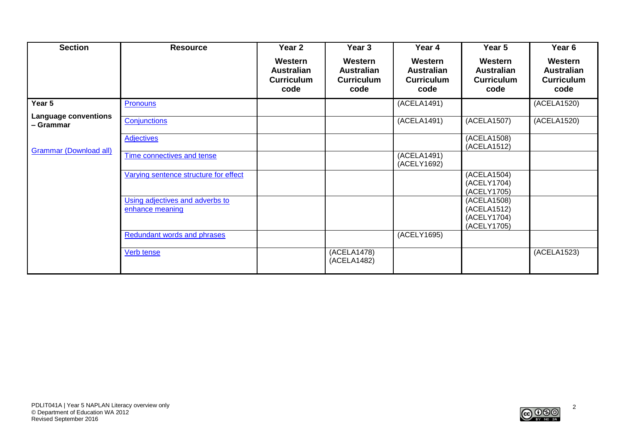| <b>Section</b>                           | <b>Resource</b>                                    | Year 2                                                    | Year 3                                                    | Year 4                                                    | Year 5                                                    | Year <sub>6</sub>                                         |
|------------------------------------------|----------------------------------------------------|-----------------------------------------------------------|-----------------------------------------------------------|-----------------------------------------------------------|-----------------------------------------------------------|-----------------------------------------------------------|
|                                          |                                                    | Western<br><b>Australian</b><br><b>Curriculum</b><br>code | Western<br><b>Australian</b><br><b>Curriculum</b><br>code | Western<br><b>Australian</b><br><b>Curriculum</b><br>code | Western<br><b>Australian</b><br><b>Curriculum</b><br>code | Western<br><b>Australian</b><br><b>Curriculum</b><br>code |
| Year 5                                   | <b>Pronouns</b>                                    |                                                           |                                                           | (ACELA1491)                                               |                                                           | (ACELA1520)                                               |
| <b>Language conventions</b><br>– Grammar | Conjunctions                                       |                                                           |                                                           | (ACELA1491)                                               | (ACELA1507)                                               | (ACELA1520)                                               |
| <b>Grammar (Download all)</b>            | <b>Adjectives</b>                                  |                                                           |                                                           |                                                           | (ACELA1508)<br>(ACELA1512)                                |                                                           |
|                                          | Time connectives and tense                         |                                                           |                                                           | (ACELA1491)<br>(ACELY1692)                                |                                                           |                                                           |
|                                          | Varying sentence structure for effect              |                                                           |                                                           |                                                           | (ACELA1504)<br>(ACELY1704)<br>(ACELY1705)                 |                                                           |
|                                          | Using adjectives and adverbs to<br>enhance meaning |                                                           |                                                           |                                                           | (ACELA1508)<br>(ACELA1512)<br>(ACELY1704)<br>(ACELY1705)  |                                                           |
|                                          | <b>Redundant words and phrases</b>                 |                                                           |                                                           | (ACELY1695)                                               |                                                           |                                                           |
|                                          | Verb tense                                         |                                                           | (ACELA1478)<br>(ACELA1482)                                |                                                           |                                                           | (ACELA1523)                                               |

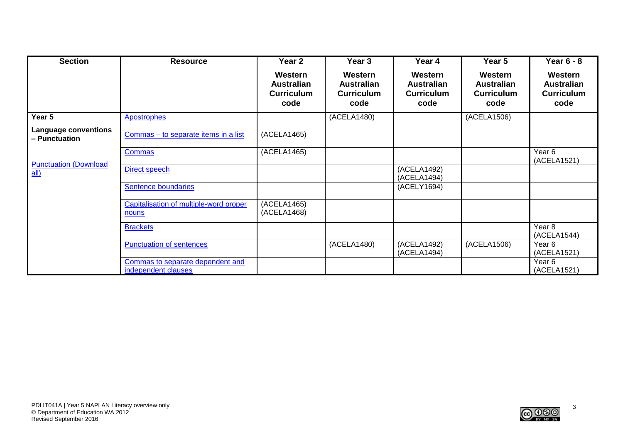| <b>Section</b>                               | <b>Resource</b>                                         | Year 2                                                    | Year 3                                                    | Year 4                                                    | Year 5                                                    | <b>Year 6 - 8</b>                                         |
|----------------------------------------------|---------------------------------------------------------|-----------------------------------------------------------|-----------------------------------------------------------|-----------------------------------------------------------|-----------------------------------------------------------|-----------------------------------------------------------|
|                                              |                                                         | Western<br><b>Australian</b><br><b>Curriculum</b><br>code | Western<br><b>Australian</b><br><b>Curriculum</b><br>code | Western<br><b>Australian</b><br><b>Curriculum</b><br>code | Western<br><b>Australian</b><br><b>Curriculum</b><br>code | Western<br><b>Australian</b><br><b>Curriculum</b><br>code |
| Year 5                                       | <b>Apostrophes</b>                                      |                                                           | (ACELA1480)                                               |                                                           | (ACELA1506)                                               |                                                           |
| <b>Language conventions</b><br>- Punctuation | Commas - to separate items in a list                    | (ACELA1465)                                               |                                                           |                                                           |                                                           |                                                           |
|                                              | <b>Commas</b>                                           | (ACELA1465)                                               |                                                           |                                                           |                                                           | Year <sub>6</sub><br>(ACELA1521)                          |
| <b>Punctuation (Download</b><br>$all$        | Direct speech                                           |                                                           |                                                           | (ACELA1492)<br>(ACELA1494)                                |                                                           |                                                           |
|                                              | Sentence boundaries                                     |                                                           |                                                           | (ACELY1694)                                               |                                                           |                                                           |
|                                              | Capitalisation of multiple-word proper<br>nouns         | (ACELA1465)<br>(ACELA1468)                                |                                                           |                                                           |                                                           |                                                           |
|                                              | <b>Brackets</b>                                         |                                                           |                                                           |                                                           |                                                           | Year <sub>8</sub><br>(ACELA1544)                          |
|                                              | Punctuation of sentences                                |                                                           | (ACELA1480)                                               | (ACELA1492)<br>(ACELA1494)                                | (ACELA1506)                                               | Year <sub>6</sub><br>(ACELA1521)                          |
|                                              | Commas to separate dependent and<br>independent clauses |                                                           |                                                           |                                                           |                                                           | Year <sub>6</sub><br>(ACELA1521)                          |

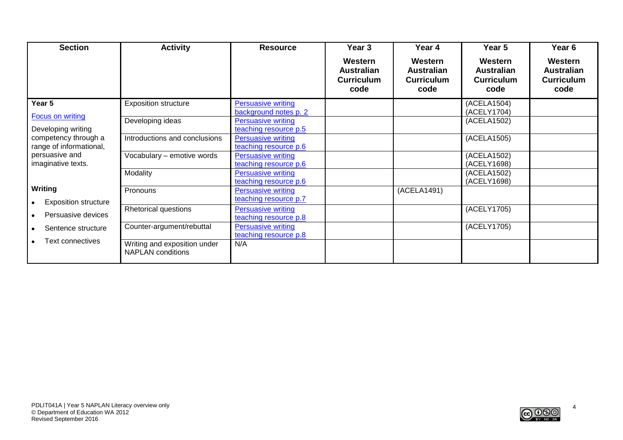| <b>Section</b>              | <b>Activity</b>                                          | <b>Resource</b>           | Year 3                                                    | Year 4                                                    | Year 5                                                    | Year <sub>6</sub>                                         |
|-----------------------------|----------------------------------------------------------|---------------------------|-----------------------------------------------------------|-----------------------------------------------------------|-----------------------------------------------------------|-----------------------------------------------------------|
|                             |                                                          |                           | Western<br><b>Australian</b><br><b>Curriculum</b><br>code | Western<br><b>Australian</b><br><b>Curriculum</b><br>code | Western<br><b>Australian</b><br><b>Curriculum</b><br>code | Western<br><b>Australian</b><br><b>Curriculum</b><br>code |
| Year 5                      | <b>Exposition structure</b>                              | <b>Persuasive writing</b> |                                                           |                                                           | (ACELA1504)                                               |                                                           |
| <b>Focus on writing</b>     |                                                          | background notes p. 2     |                                                           |                                                           | (ACELY1704)                                               |                                                           |
|                             | Developing ideas                                         | <b>Persuasive writing</b> |                                                           |                                                           | (ACELA1502)                                               |                                                           |
| Developing writing          |                                                          | teaching resource p.5     |                                                           |                                                           |                                                           |                                                           |
| competency through a        | Introductions and conclusions                            | <b>Persuasive writing</b> |                                                           |                                                           | (ACELA1505)                                               |                                                           |
| range of informational,     |                                                          | teaching resource p.6     |                                                           |                                                           |                                                           |                                                           |
| persuasive and              | Vocabulary - emotive words                               | <b>Persuasive writing</b> |                                                           |                                                           | (ACELA1502)                                               |                                                           |
| imaginative texts.          |                                                          | teaching resource p.6     |                                                           |                                                           | (ACELY1698)                                               |                                                           |
|                             | Modality                                                 | <b>Persuasive writing</b> |                                                           |                                                           | (ACELA1502)                                               |                                                           |
|                             |                                                          | teaching resource p.6     |                                                           |                                                           | (ACELY1698)                                               |                                                           |
| Writing                     | Pronouns                                                 | <b>Persuasive writing</b> |                                                           | (ACELA1491)                                               |                                                           |                                                           |
| <b>Exposition structure</b> |                                                          | teaching resource p.7     |                                                           |                                                           |                                                           |                                                           |
|                             | <b>Rhetorical questions</b>                              | <b>Persuasive writing</b> |                                                           |                                                           | (ACELY1705)                                               |                                                           |
| Persuasive devices          |                                                          | teaching resource p.8     |                                                           |                                                           |                                                           |                                                           |
| Sentence structure          | Counter-argument/rebuttal                                | <b>Persuasive writing</b> |                                                           |                                                           | (ACELY1705)                                               |                                                           |
|                             |                                                          | teaching resource p.8     |                                                           |                                                           |                                                           |                                                           |
| Text connectives            | Writing and exposition under<br><b>NAPLAN</b> conditions | N/A                       |                                                           |                                                           |                                                           |                                                           |

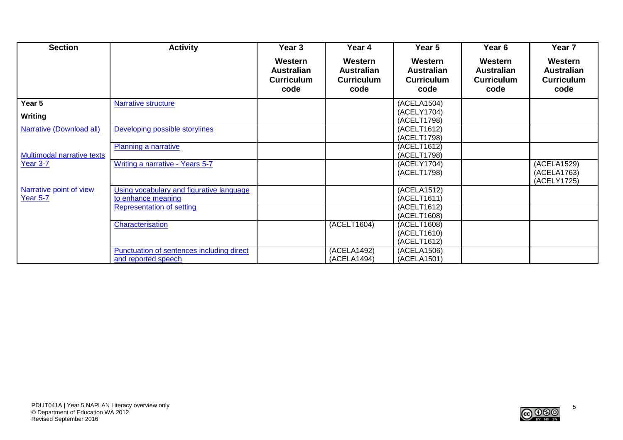| <b>Section</b>                             | <b>Activity</b>                                                  | Year 3                                                    | Year 4                                                    | Year 5                                                    | Year 6                                                    | Year 7                                                    |
|--------------------------------------------|------------------------------------------------------------------|-----------------------------------------------------------|-----------------------------------------------------------|-----------------------------------------------------------|-----------------------------------------------------------|-----------------------------------------------------------|
|                                            |                                                                  | Western<br><b>Australian</b><br><b>Curriculum</b><br>code | Western<br><b>Australian</b><br><b>Curriculum</b><br>code | Western<br><b>Australian</b><br><b>Curriculum</b><br>code | Western<br><b>Australian</b><br><b>Curriculum</b><br>code | Western<br><b>Australian</b><br><b>Curriculum</b><br>code |
| Year 5                                     | <b>Narrative structure</b>                                       |                                                           |                                                           | (ACELA1504)                                               |                                                           |                                                           |
| <b>Writing</b>                             |                                                                  |                                                           |                                                           | (ACELY1704)<br>(ACELT1798)                                |                                                           |                                                           |
| Narrative (Download all)                   | Developing possible storylines                                   |                                                           |                                                           | (ACELT1612)<br>(ACELT1798)                                |                                                           |                                                           |
| <b>Multimodal narrative texts</b>          | Planning a narrative                                             |                                                           |                                                           | (ACELT1612)<br>(ACELT1798)                                |                                                           |                                                           |
| Year 3-7                                   | Writing a narrative - Years 5-7                                  |                                                           |                                                           | (ACELY1704)<br>(ACELT1798)                                |                                                           | (ACELA1529)<br>(ACELA1763)<br>(ACELY1725)                 |
| Narrative point of view<br><b>Year 5-7</b> | Using vocabulary and figurative language<br>to enhance meaning   |                                                           |                                                           | (ACELA1512)<br>(ACELT1611)                                |                                                           |                                                           |
|                                            | <b>Representation of setting</b>                                 |                                                           |                                                           | (ACELT1612)<br>(ACELT1608)                                |                                                           |                                                           |
|                                            | Characterisation                                                 |                                                           | (ACELT1604)                                               | (ACELT1608)<br>(ACELT1610)<br>(ACELT1612)                 |                                                           |                                                           |
|                                            | Punctuation of sentences including direct<br>and reported speech |                                                           | (ACELA1492)<br>(ACELA1494)                                | (ACELA1506)<br>(ACELA1501)                                |                                                           |                                                           |

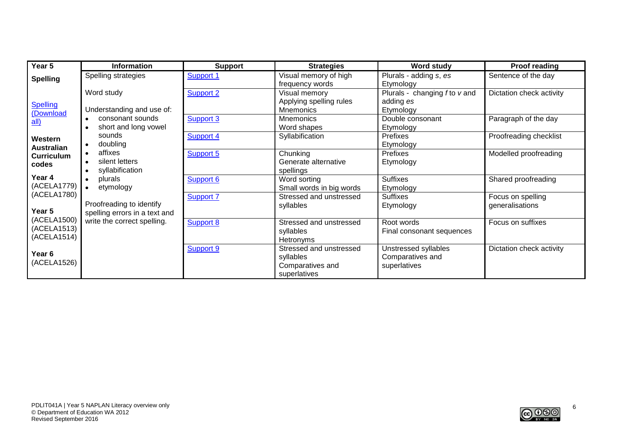| Year 5            | <b>Information</b>            | <b>Support</b>   | <b>Strategies</b>        | <b>Word study</b>             | <b>Proof reading</b>     |
|-------------------|-------------------------------|------------------|--------------------------|-------------------------------|--------------------------|
| <b>Spelling</b>   | Spelling strategies           | Support 1        | Visual memory of high    | Plurals - adding s, es        | Sentence of the day      |
|                   |                               |                  | frequency words          | Etymology                     |                          |
|                   | Word study                    | <b>Support 2</b> | Visual memory            | Plurals - changing f to v and | Dictation check activity |
| Spelling          |                               |                  | Applying spelling rules  | adding es                     |                          |
| (Download         | Understanding and use of:     |                  | <b>Mnemonics</b>         | Etymology                     |                          |
| $all$             | consonant sounds              | Support 3        | <b>Mnemonics</b>         | Double consonant              | Paragraph of the day     |
|                   | short and long vowel          |                  | Word shapes              | Etymology                     |                          |
| Western           | sounds                        | Support 4        | Syllabification          | Prefixes                      | Proofreading checklist   |
| <b>Australian</b> | doubling                      |                  |                          | Etymology                     |                          |
| <b>Curriculum</b> | affixes                       | Support 5        | Chunking                 | Prefixes                      | Modelled proofreading    |
| codes             | silent letters                |                  | Generate alternative     | Etymology                     |                          |
|                   | syllabification               |                  | spellings                |                               |                          |
| Year 4            | plurals<br>$\bullet$          | Support 6        | Word sorting             | <b>Suffixes</b>               | Shared proofreading      |
| (ACELA1779)       | etymology<br>$\bullet$        |                  | Small words in big words | Etymology                     |                          |
| (ACELA1780)       |                               | <b>Support 7</b> | Stressed and unstressed  | <b>Suffixes</b>               | Focus on spelling        |
| Year 5            | Proofreading to identify      |                  | syllables                | Etymology                     | generalisations          |
| (ACELA1500)       | spelling errors in a text and |                  |                          |                               |                          |
| (ACELA1513)       | write the correct spelling.   | <b>Support 8</b> | Stressed and unstressed  | Root words                    | Focus on suffixes        |
| (ACELA1514)       |                               |                  | syllables                | Final consonant sequences     |                          |
|                   |                               |                  | Hetronyms                |                               |                          |
| Year 6            |                               | Support 9        | Stressed and unstressed  | Unstressed syllables          | Dictation check activity |
| (ACELA1526)       |                               |                  | syllables                | Comparatives and              |                          |
|                   |                               |                  | Comparatives and         | superlatives                  |                          |
|                   |                               |                  | superlatives             |                               |                          |